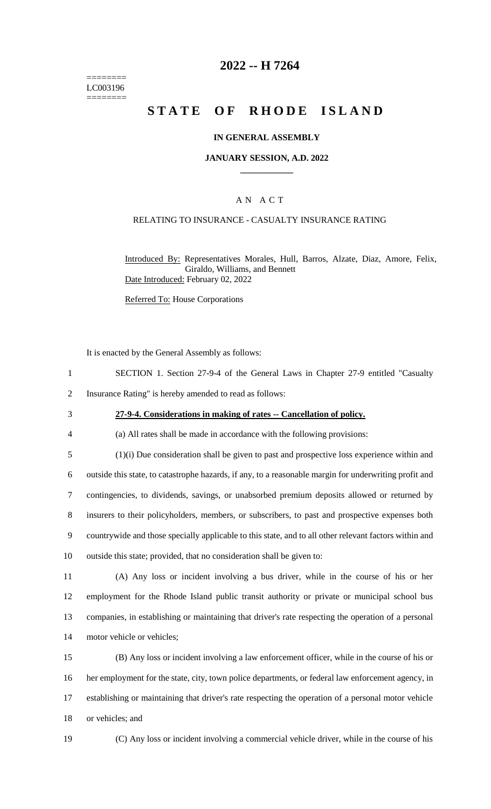======== LC003196 ========

# **2022 -- H 7264**

# **STATE OF RHODE ISLAND**

## **IN GENERAL ASSEMBLY**

#### **JANUARY SESSION, A.D. 2022 \_\_\_\_\_\_\_\_\_\_\_\_**

## A N A C T

## RELATING TO INSURANCE - CASUALTY INSURANCE RATING

Introduced By: Representatives Morales, Hull, Barros, Alzate, Diaz, Amore, Felix, Giraldo, Williams, and Bennett Date Introduced: February 02, 2022

Referred To: House Corporations

It is enacted by the General Assembly as follows:

- 1 SECTION 1. Section 27-9-4 of the General Laws in Chapter 27-9 entitled "Casualty
- 2 Insurance Rating" is hereby amended to read as follows:
- 

#### 3 **27-9-4. Considerations in making of rates -- Cancellation of policy.**

- 4 (a) All rates shall be made in accordance with the following provisions:
- 5 (1)(i) Due consideration shall be given to past and prospective loss experience within and 6 outside this state, to catastrophe hazards, if any, to a reasonable margin for underwriting profit and 7 contingencies, to dividends, savings, or unabsorbed premium deposits allowed or returned by 8 insurers to their policyholders, members, or subscribers, to past and prospective expenses both 9 countrywide and those specially applicable to this state, and to all other relevant factors within and 10 outside this state; provided, that no consideration shall be given to:
- 11 (A) Any loss or incident involving a bus driver, while in the course of his or her 12 employment for the Rhode Island public transit authority or private or municipal school bus 13 companies, in establishing or maintaining that driver's rate respecting the operation of a personal 14 motor vehicle or vehicles;
- 15 (B) Any loss or incident involving a law enforcement officer, while in the course of his or 16 her employment for the state, city, town police departments, or federal law enforcement agency, in 17 establishing or maintaining that driver's rate respecting the operation of a personal motor vehicle 18 or vehicles; and
- 

19 (C) Any loss or incident involving a commercial vehicle driver, while in the course of his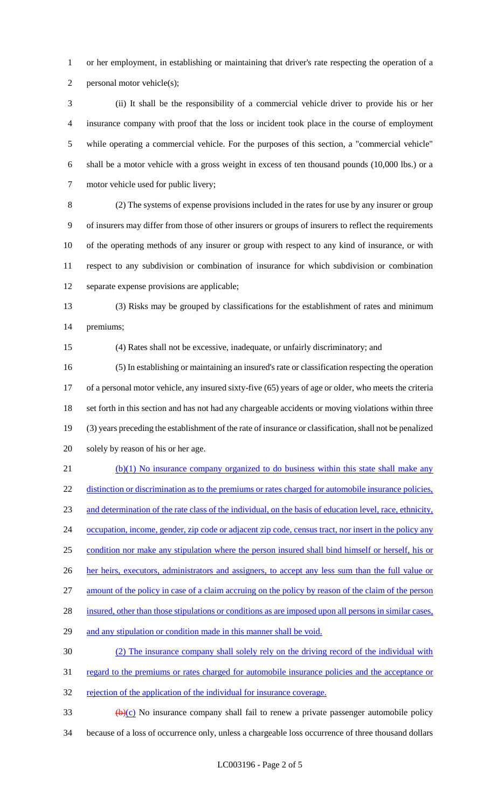or her employment, in establishing or maintaining that driver's rate respecting the operation of a personal motor vehicle(s);

 (ii) It shall be the responsibility of a commercial vehicle driver to provide his or her insurance company with proof that the loss or incident took place in the course of employment while operating a commercial vehicle. For the purposes of this section, a "commercial vehicle" shall be a motor vehicle with a gross weight in excess of ten thousand pounds (10,000 lbs.) or a motor vehicle used for public livery;

 (2) The systems of expense provisions included in the rates for use by any insurer or group of insurers may differ from those of other insurers or groups of insurers to reflect the requirements of the operating methods of any insurer or group with respect to any kind of insurance, or with respect to any subdivision or combination of insurance for which subdivision or combination separate expense provisions are applicable;

 (3) Risks may be grouped by classifications for the establishment of rates and minimum premiums;

(4) Rates shall not be excessive, inadequate, or unfairly discriminatory; and

 (5) In establishing or maintaining an insured's rate or classification respecting the operation of a personal motor vehicle, any insured sixty-five (65) years of age or older, who meets the criteria set forth in this section and has not had any chargeable accidents or moving violations within three (3) years preceding the establishment of the rate of insurance or classification, shall not be penalized solely by reason of his or her age.

 (b)(1) No insurance company organized to do business within this state shall make any 22 distinction or discrimination as to the premiums or rates charged for automobile insurance policies, and determination of the rate class of the individual, on the basis of education level, race, ethnicity, 24 occupation, income, gender, zip code or adjacent zip code, census tract, nor insert in the policy any condition nor make any stipulation where the person insured shall bind himself or herself, his or 26 her heirs, executors, administrators and assigners, to accept any less sum than the full value or amount of the policy in case of a claim accruing on the policy by reason of the claim of the person 28 insured, other than those stipulations or conditions as are imposed upon all persons in similar cases, 29 and any stipulation or condition made in this manner shall be void. (2) The insurance company shall solely rely on the driving record of the individual with regard to the premiums or rates charged for automobile insurance policies and the acceptance or

32 rejection of the application of the individual for insurance coverage.

 $\frac{1}{2}$  33 (b)(c) No insurance company shall fail to renew a private passenger automobile policy because of a loss of occurrence only, unless a chargeable loss occurrence of three thousand dollars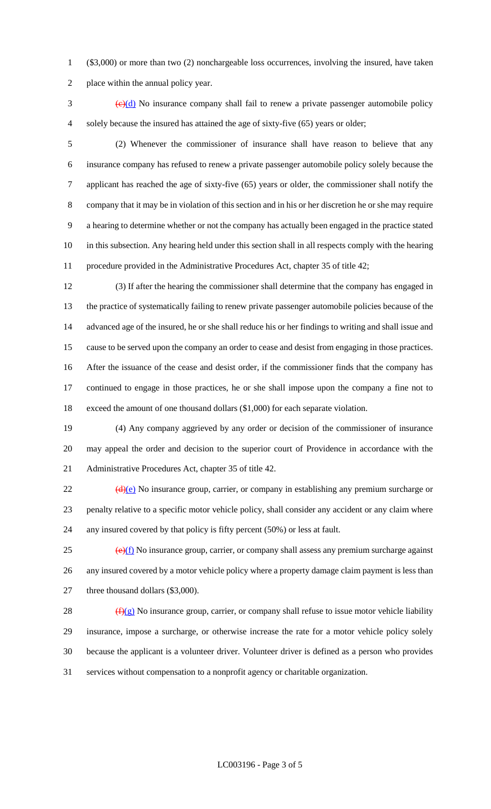(\$3,000) or more than two (2) nonchargeable loss occurrences, involving the insured, have taken

place within the annual policy year.

 $\frac{1}{2}$  (e)(d) No insurance company shall fail to renew a private passenger automobile policy solely because the insured has attained the age of sixty-five (65) years or older;

 (2) Whenever the commissioner of insurance shall have reason to believe that any insurance company has refused to renew a private passenger automobile policy solely because the applicant has reached the age of sixty-five (65) years or older, the commissioner shall notify the company that it may be in violation of this section and in his or her discretion he or she may require a hearing to determine whether or not the company has actually been engaged in the practice stated in this subsection. Any hearing held under this section shall in all respects comply with the hearing procedure provided in the Administrative Procedures Act, chapter 35 of title 42;

 (3) If after the hearing the commissioner shall determine that the company has engaged in the practice of systematically failing to renew private passenger automobile policies because of the advanced age of the insured, he or she shall reduce his or her findings to writing and shall issue and cause to be served upon the company an order to cease and desist from engaging in those practices. After the issuance of the cease and desist order, if the commissioner finds that the company has continued to engage in those practices, he or she shall impose upon the company a fine not to exceed the amount of one thousand dollars (\$1,000) for each separate violation.

 (4) Any company aggrieved by any order or decision of the commissioner of insurance may appeal the order and decision to the superior court of Providence in accordance with the Administrative Procedures Act, chapter 35 of title 42.

22 (d)(e) No insurance group, carrier, or company in establishing any premium surcharge or penalty relative to a specific motor vehicle policy, shall consider any accident or any claim where any insured covered by that policy is fifty percent (50%) or less at fault.

 $\frac{(\mathbf{e})(f)}{f}$  No insurance group, carrier, or company shall assess any premium surcharge against 26 any insured covered by a motor vehicle policy where a property damage claim payment is less than 27 three thousand dollars (\$3,000).

 $(f)(g)$  No insurance group, carrier, or company shall refuse to issue motor vehicle liability insurance, impose a surcharge, or otherwise increase the rate for a motor vehicle policy solely because the applicant is a volunteer driver. Volunteer driver is defined as a person who provides services without compensation to a nonprofit agency or charitable organization.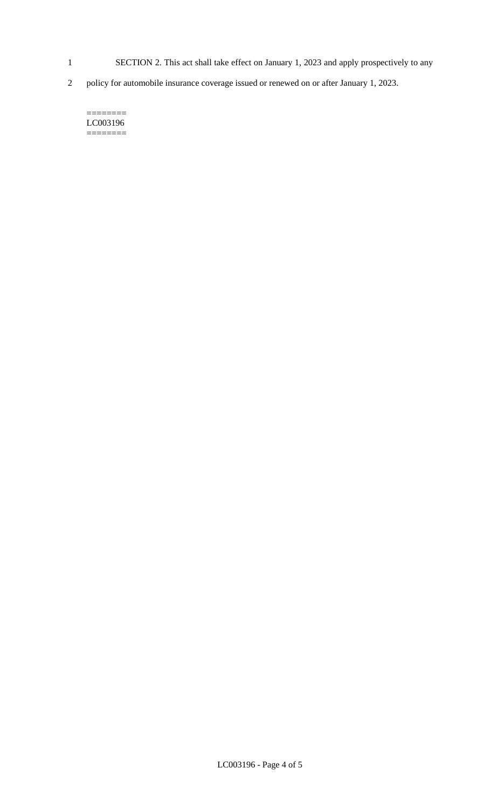- 1 SECTION 2. This act shall take effect on January 1, 2023 and apply prospectively to any
- 2 policy for automobile insurance coverage issued or renewed on or after January 1, 2023.

======== LC003196  $=$